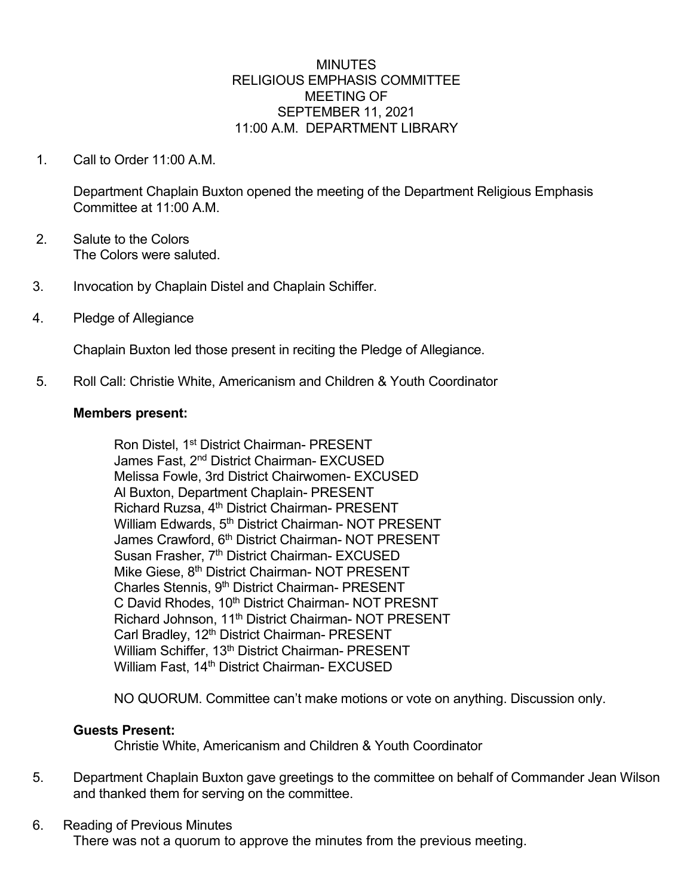#### **MINUTES** RELIGIOUS EMPHASIS COMMITTEE MEETING OF SEPTEMBER 11, 2021 11:00 A.M. DEPARTMENT LIBRARY

1. Call to Order 11:00 A.M.

Department Chaplain Buxton opened the meeting of the Department Religious Emphasis Committee at 11:00 A.M.

- 2. Salute to the Colors The Colors were saluted.
- 3. Invocation by Chaplain Distel and Chaplain Schiffer.
- 4. Pledge of Allegiance

Chaplain Buxton led those present in reciting the Pledge of Allegiance.

5. Roll Call: Christie White, Americanism and Children & Youth Coordinator

#### **Members present:**

Ron Distel, 1st District Chairman- PRESENT James Fast, 2<sup>nd</sup> District Chairman- EXCUSED Melissa Fowle, 3rd District Chairwomen- EXCUSED Al Buxton, Department Chaplain- PRESENT Richard Ruzsa, 4th District Chairman- PRESENT William Edwards, 5<sup>th</sup> District Chairman- NOT PRESENT James Crawford, 6<sup>th</sup> District Chairman- NOT PRESENT Susan Frasher, 7<sup>th</sup> District Chairman- EXCUSED Mike Giese, 8<sup>th</sup> District Chairman- NOT PRESENT Charles Stennis, 9<sup>th</sup> District Chairman- PRESENT C David Rhodes, 10<sup>th</sup> District Chairman- NOT PRESNT Richard Johnson, 11<sup>th</sup> District Chairman- NOT PRESENT Carl Bradley, 12<sup>th</sup> District Chairman- PRESENT William Schiffer, 13<sup>th</sup> District Chairman- PRESENT William Fast, 14<sup>th</sup> District Chairman- EXCUSED

NO QUORUM. Committee can't make motions or vote on anything. Discussion only.

### **Guests Present:**

Christie White, Americanism and Children & Youth Coordinator

5. Department Chaplain Buxton gave greetings to the committee on behalf of Commander Jean Wilson and thanked them for serving on the committee.

### 6. Reading of Previous Minutes

There was not a quorum to approve the minutes from the previous meeting.